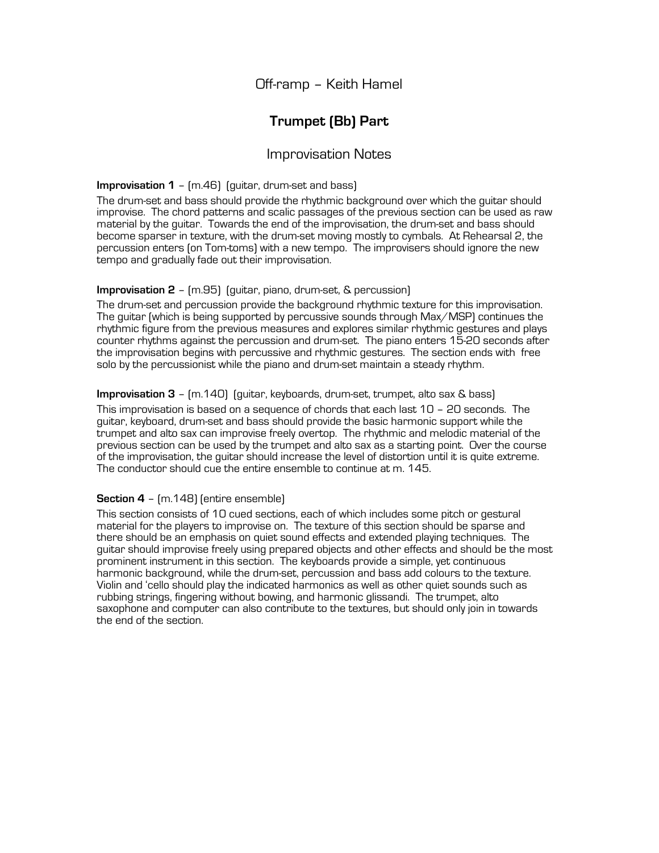## Off-ramp – Keith Hamel

# **Trumpet (Bb) Part**

### Improvisation Notes

#### **Improvisation 1** – (m.46) (guitar, drum-set and bass)

The drum-set and bass should provide the rhythmic background over which the guitar should improvise. The chord patterns and scalic passages of the previous section can be used as raw material by the guitar. Towards the end of the improvisation, the drum-set and bass should become sparser in texture, with the drum-set moving mostly to cymbals. At Rehearsal 2, the percussion enters (on Tom-toms) with a new tempo. The improvisers should ignore the new tempo and gradually fade out their improvisation.

### **Improvisation 2** – (m.95) (guitar, piano, drum-set, & percussion)

The drum-set and percussion provide the background rhythmic texture for this improvisation. The guitar (which is being supported by percussive sounds through Max/MSP) continues the rhythmic figure from the previous measures and explores similar rhythmic gestures and plays counter rhythms against the percussion and drum-set. The piano enters 15-20 seconds after the improvisation begins with percussive and rhythmic gestures. The section ends with free solo by the percussionist while the piano and drum-set maintain a steady rhythm.

#### **Improvisation 3** – (m.140) (guitar, keyboards, drum-set, trumpet, alto sax & bass)

This improvisation is based on a sequence of chords that each last 10 – 20 seconds. The guitar, keyboard, drum-set and bass should provide the basic harmonic support while the trumpet and alto sax can improvise freely overtop. The rhythmic and melodic material of the previous section can be used by the trumpet and alto sax as a starting point. Over the course of the improvisation, the guitar should increase the level of distortion until it is quite extreme. The conductor should cue the entire ensemble to continue at m. 145.

#### **Section 4** – (m.148) (entire ensemble)

This section consists of 10 cued sections, each of which includes some pitch or gestural material for the players to improvise on. The texture of this section should be sparse and there should be an emphasis on quiet sound effects and extended playing techniques. The guitar should improvise freely using prepared objects and other effects and should be the most prominent instrument in this section. The keyboards provide a simple, yet continuous harmonic background, while the drum-set, percussion and bass add colours to the texture. Violin and 'cello should play the indicated harmonics as well as other quiet sounds such as rubbing strings, fingering without bowing, and harmonic glissandi. The trumpet, alto saxophone and computer can also contribute to the textures, but should only join in towards the end of the section.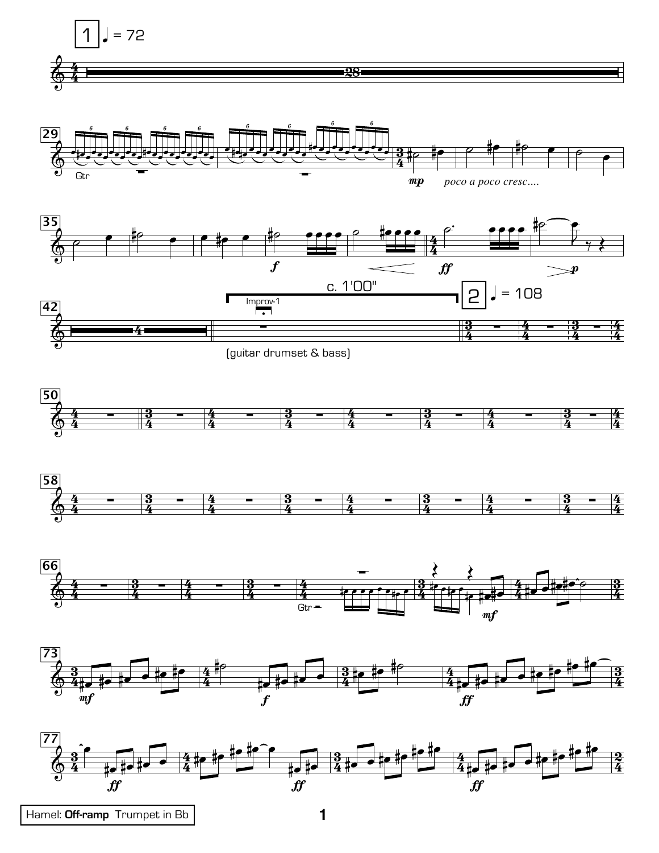















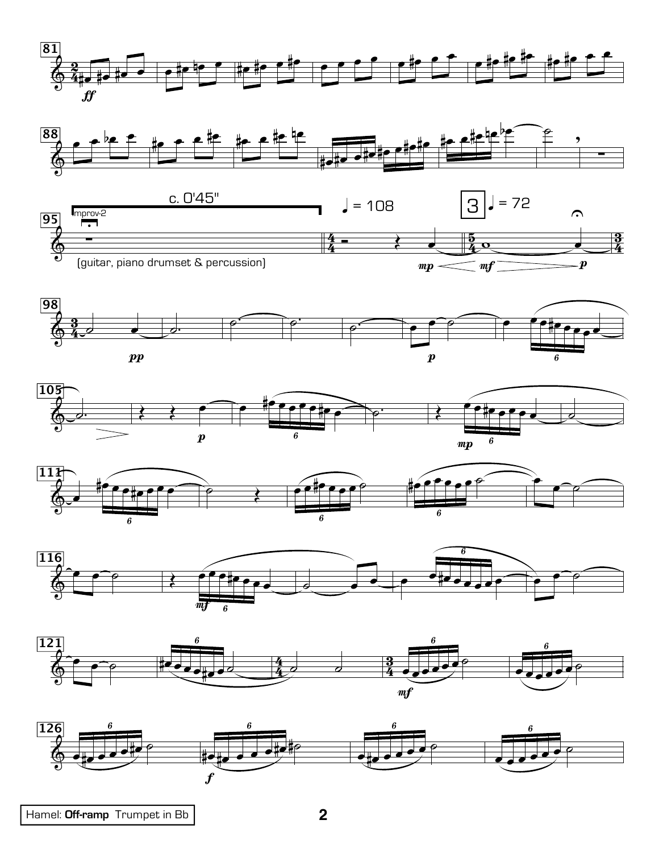

















Hamel: Off-ramp Trumpet in Bb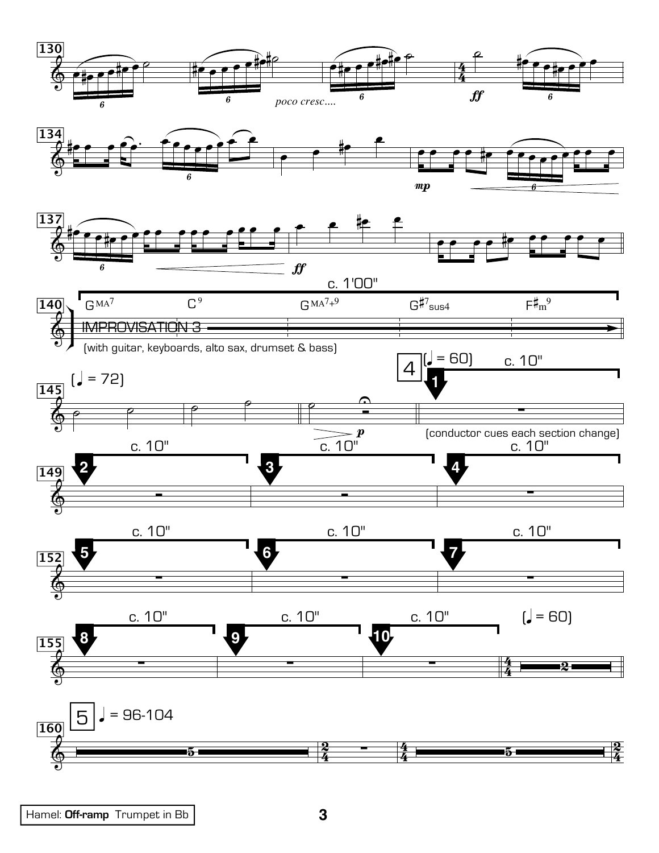